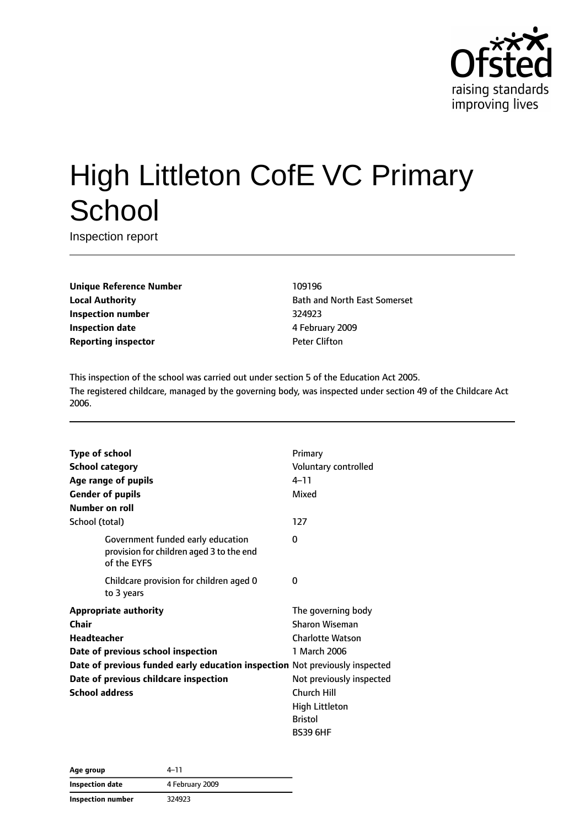

# High Littleton CofE VC Primary **School**

Inspection report

**Unique Reference Number** 109196 **Inspection number** 324923 **Inspection date** 4 February 2009 **Reporting inspector CONFIDENTIAL PETER PETER PETER PETER PETER PETER PETER PETER PETER PETER PETER PETER PETER** 

**Local Authority Bath and North East Somerset** 

This inspection of the school was carried out under section 5 of the Education Act 2005. The registered childcare, managed by the governing body, was inspected under section 49 of the Childcare Act 2006.

| <b>Type of school</b>                                                                        | Primary                  |
|----------------------------------------------------------------------------------------------|--------------------------|
| <b>School category</b>                                                                       | Voluntary controlled     |
| Age range of pupils                                                                          | $4 - 11$                 |
| <b>Gender of pupils</b>                                                                      | Mixed                    |
| Number on roll                                                                               |                          |
| School (total)                                                                               | 127                      |
| Government funded early education<br>provision for children aged 3 to the end<br>of the EYFS | 0                        |
| Childcare provision for children aged 0<br>to 3 years                                        | 0                        |
| <b>Appropriate authority</b>                                                                 | The governing body       |
| Chair                                                                                        | <b>Sharon Wiseman</b>    |
| <b>Headteacher</b>                                                                           | <b>Charlotte Watson</b>  |
| Date of previous school inspection                                                           | 1 March 2006             |
| Date of previous funded early education inspection Not previously inspected                  |                          |
| Date of previous childcare inspection                                                        | Not previously inspected |
| <b>School address</b>                                                                        | Church Hill              |
|                                                                                              | High Littleton           |
|                                                                                              | <b>Bristol</b>           |
|                                                                                              | <b>BS39 6HF</b>          |

| Age group         | 4–11            |  |
|-------------------|-----------------|--|
| Inspection date   | 4 February 2009 |  |
| Inspection number | 324923          |  |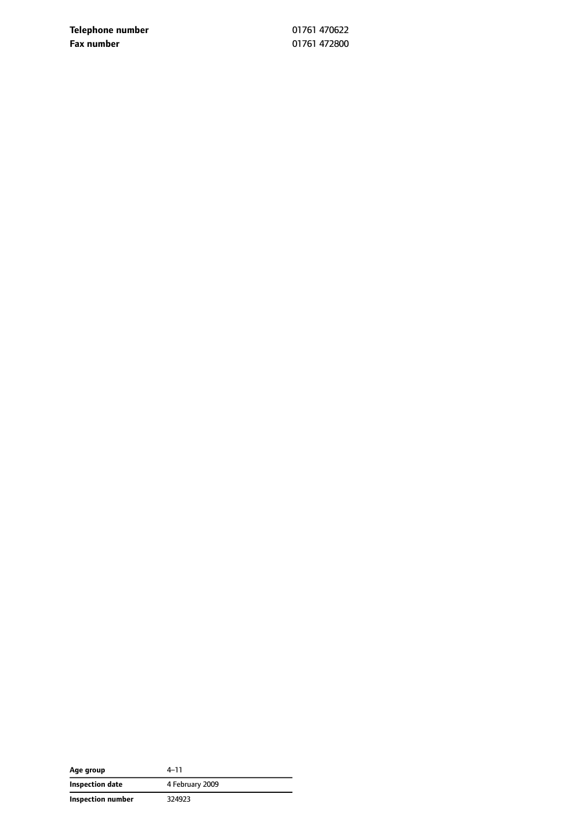**Telephone number** 01761 470622 **Fax number** 01761 472800

| Age group         | 4–11            |
|-------------------|-----------------|
| Inspection date   | 4 February 2009 |
| Inspection number | 324923          |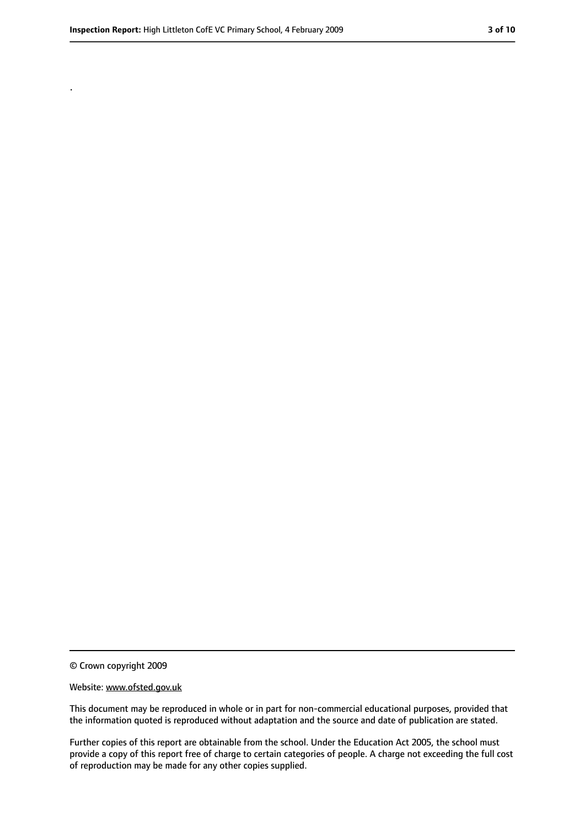.

#### Website: www.ofsted.gov.uk

This document may be reproduced in whole or in part for non-commercial educational purposes, provided that the information quoted is reproduced without adaptation and the source and date of publication are stated.

Further copies of this report are obtainable from the school. Under the Education Act 2005, the school must provide a copy of this report free of charge to certain categories of people. A charge not exceeding the full cost of reproduction may be made for any other copies supplied.

<sup>©</sup> Crown copyright 2009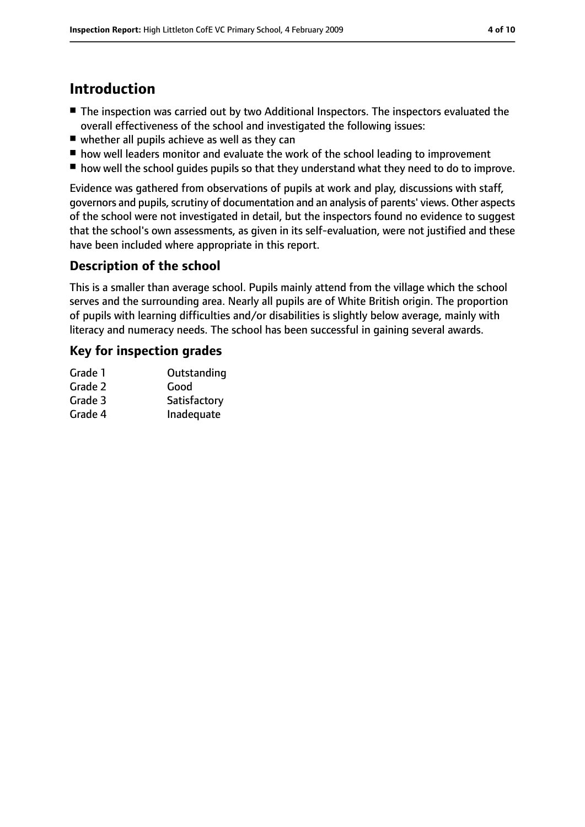# **Introduction**

- The inspection was carried out by two Additional Inspectors. The inspectors evaluated the overall effectiveness of the school and investigated the following issues:
- whether all pupils achieve as well as they can
- how well leaders monitor and evaluate the work of the school leading to improvement
- how well the school quides pupils so that they understand what they need to do to improve.

Evidence was gathered from observations of pupils at work and play, discussions with staff, governors and pupils, scrutiny of documentation and an analysis of parents' views. Other aspects of the school were not investigated in detail, but the inspectors found no evidence to suggest that the school's own assessments, as given in its self-evaluation, were not justified and these have been included where appropriate in this report.

#### **Description of the school**

This is a smaller than average school. Pupils mainly attend from the village which the school serves and the surrounding area. Nearly all pupils are of White British origin. The proportion of pupils with learning difficulties and/or disabilities is slightly below average, mainly with literacy and numeracy needs. The school has been successful in gaining several awards.

#### **Key for inspection grades**

| Grade 1 | Outstanding  |
|---------|--------------|
| Grade 2 | Good         |
| Grade 3 | Satisfactory |
| Grade 4 | Inadequate   |
|         |              |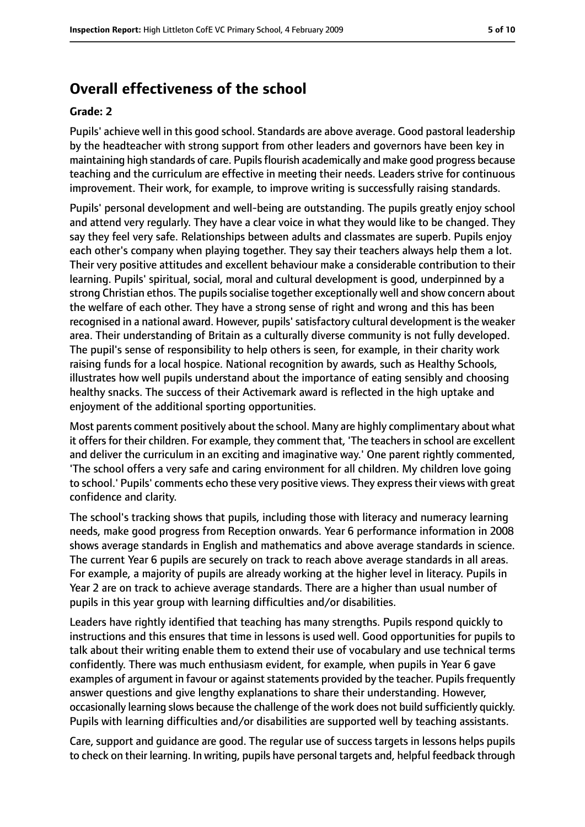# **Overall effectiveness of the school**

#### **Grade: 2**

Pupils' achieve well in this good school. Standards are above average. Good pastoral leadership by the headteacher with strong support from other leaders and governors have been key in maintaining high standards of care. Pupils flourish academically and make good progress because teaching and the curriculum are effective in meeting their needs. Leaders strive for continuous improvement. Their work, for example, to improve writing is successfully raising standards.

Pupils' personal development and well-being are outstanding. The pupils greatly enjoy school and attend very regularly. They have a clear voice in what they would like to be changed. They say they feel very safe. Relationships between adults and classmates are superb. Pupils enjoy each other's company when playing together. They say their teachers always help them a lot. Their very positive attitudes and excellent behaviour make a considerable contribution to their learning. Pupils' spiritual, social, moral and cultural development is good, underpinned by a strong Christian ethos. The pupils socialise together exceptionally well and show concern about the welfare of each other. They have a strong sense of right and wrong and this has been recognised in a national award. However, pupils'satisfactory cultural development isthe weaker area. Their understanding of Britain as a culturally diverse community is not fully developed. The pupil's sense of responsibility to help others is seen, for example, in their charity work raising funds for a local hospice. National recognition by awards, such as Healthy Schools, illustrates how well pupils understand about the importance of eating sensibly and choosing healthy snacks. The success of their Activemark award is reflected in the high uptake and enjoyment of the additional sporting opportunities.

Most parents comment positively about the school. Many are highly complimentary about what it offers for their children. For example, they comment that, 'The teachers in school are excellent and deliver the curriculum in an exciting and imaginative way.' One parent rightly commented, 'The school offers a very safe and caring environment for all children. My children love going to school.' Pupils' comments echo these very positive views. They expresstheir views with great confidence and clarity.

The school's tracking shows that pupils, including those with literacy and numeracy learning needs, make good progress from Reception onwards. Year 6 performance information in 2008 shows average standards in English and mathematics and above average standards in science. The current Year 6 pupils are securely on track to reach above average standards in all areas. For example, a majority of pupils are already working at the higher level in literacy. Pupils in Year 2 are on track to achieve average standards. There are a higher than usual number of pupils in this year group with learning difficulties and/or disabilities.

Leaders have rightly identified that teaching has many strengths. Pupils respond quickly to instructions and this ensures that time in lessons is used well. Good opportunities for pupils to talk about their writing enable them to extend their use of vocabulary and use technical terms confidently. There was much enthusiasm evident, for example, when pupils in Year 6 gave examples of argument in favour or against statements provided by the teacher. Pupils frequently answer questions and give lengthy explanations to share their understanding. However, occasionally learning slows because the challenge of the work does not build sufficiently quickly. Pupils with learning difficulties and/or disabilities are supported well by teaching assistants.

Care, support and guidance are good. The regular use of success targets in lessons helps pupils to check on their learning. In writing, pupils have personal targets and, helpful feedback through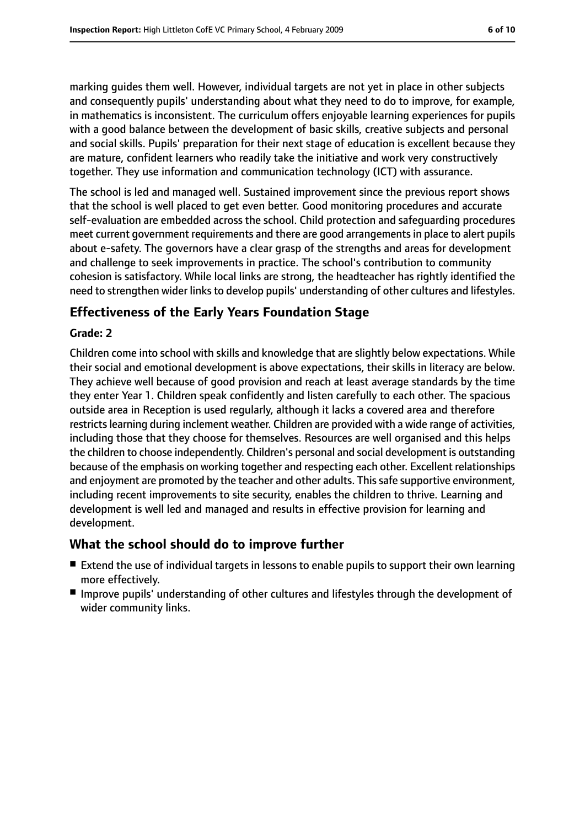marking guides them well. However, individual targets are not yet in place in other subjects and consequently pupils' understanding about what they need to do to improve, for example, in mathematics is inconsistent. The curriculum offers enjoyable learning experiences for pupils with a good balance between the development of basic skills, creative subjects and personal and social skills. Pupils' preparation for their next stage of education is excellent because they are mature, confident learners who readily take the initiative and work very constructively together. They use information and communication technology (ICT) with assurance.

The school is led and managed well. Sustained improvement since the previous report shows that the school is well placed to get even better. Good monitoring procedures and accurate self-evaluation are embedded across the school. Child protection and safeguarding procedures meet current government requirements and there are good arrangementsin place to alert pupils about e-safety. The governors have a clear grasp of the strengths and areas for development and challenge to seek improvements in practice. The school's contribution to community cohesion is satisfactory. While local links are strong, the headteacher has rightly identified the need to strengthen wider links to develop pupils' understanding of other cultures and lifestyles.

#### **Effectiveness of the Early Years Foundation Stage**

#### **Grade: 2**

Children come into school with skills and knowledge that are slightly below expectations. While their social and emotional development is above expectations, their skills in literacy are below. They achieve well because of good provision and reach at least average standards by the time they enter Year 1. Children speak confidently and listen carefully to each other. The spacious outside area in Reception is used regularly, although it lacks a covered area and therefore restricts learning during inclement weather. Children are provided with a wide range of activities, including those that they choose for themselves. Resources are well organised and this helps the children to choose independently. Children's personal and social development is outstanding because of the emphasis on working together and respecting each other. Excellent relationships and enjoyment are promoted by the teacher and other adults. This safe supportive environment, including recent improvements to site security, enables the children to thrive. Learning and development is well led and managed and results in effective provision for learning and development.

#### **What the school should do to improve further**

- Extend the use of individual targets in lessons to enable pupils to support their own learning more effectively.
- Improve pupils' understanding of other cultures and lifestyles through the development of wider community links.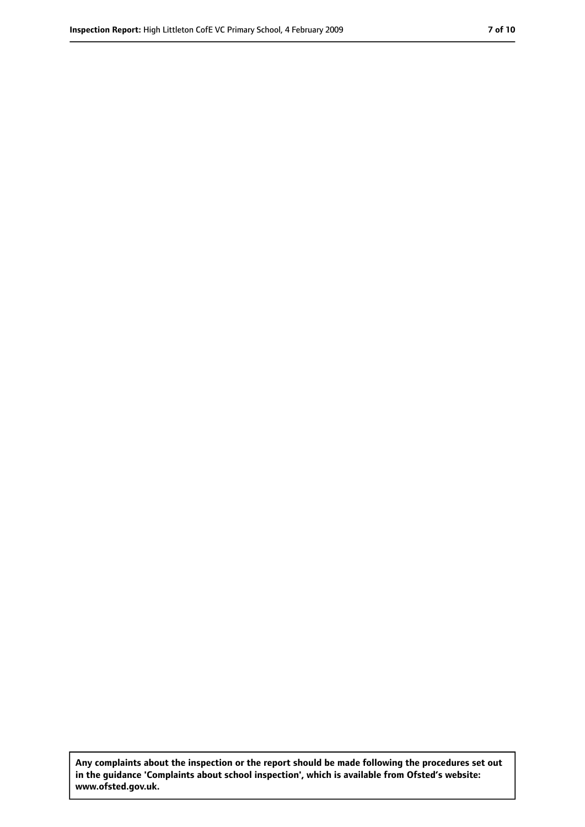**Any complaints about the inspection or the report should be made following the procedures set out in the guidance 'Complaints about school inspection', which is available from Ofsted's website: www.ofsted.gov.uk.**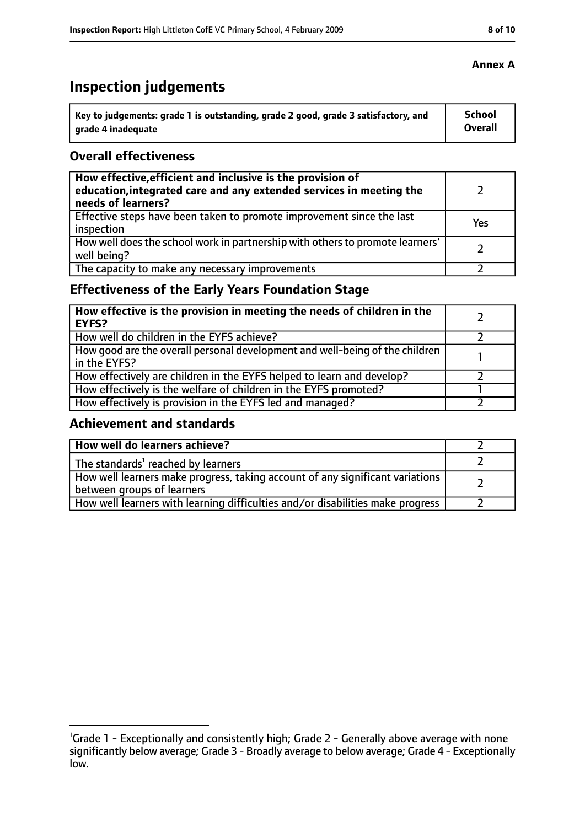# **Inspection judgements**

| Key to judgements: grade 1 is outstanding, grade 2 good, grade 3 satisfactory, and | <b>School</b>  |
|------------------------------------------------------------------------------------|----------------|
| arade 4 inadequate                                                                 | <b>Overall</b> |

#### **Overall effectiveness**

| How effective, efficient and inclusive is the provision of<br>education, integrated care and any extended services in meeting the<br>needs of learners? |     |
|---------------------------------------------------------------------------------------------------------------------------------------------------------|-----|
| Effective steps have been taken to promote improvement since the last<br>inspection                                                                     | Yes |
| How well does the school work in partnership with others to promote learners'<br>well being?                                                            |     |
| The capacity to make any necessary improvements                                                                                                         |     |

# **Effectiveness of the Early Years Foundation Stage**

| How effective is the provision in meeting the needs of children in the<br><b>EYFS?</b>       |  |
|----------------------------------------------------------------------------------------------|--|
| How well do children in the EYFS achieve?                                                    |  |
| How good are the overall personal development and well-being of the children<br>in the EYFS? |  |
| How effectively are children in the EYFS helped to learn and develop?                        |  |
| How effectively is the welfare of children in the EYFS promoted?                             |  |
| How effectively is provision in the EYFS led and managed?                                    |  |

#### **Achievement and standards**

| How well do learners achieve?                                                                               |  |
|-------------------------------------------------------------------------------------------------------------|--|
| The standards <sup>1</sup> reached by learners                                                              |  |
| How well learners make progress, taking account of any significant variations<br>between groups of learners |  |
| How well learners with learning difficulties and/or disabilities make progress                              |  |

#### **Annex A**

<sup>&</sup>lt;sup>1</sup>Grade 1 - Exceptionally and consistently high; Grade 2 - Generally above average with none significantly below average; Grade 3 - Broadly average to below average; Grade 4 - Exceptionally low.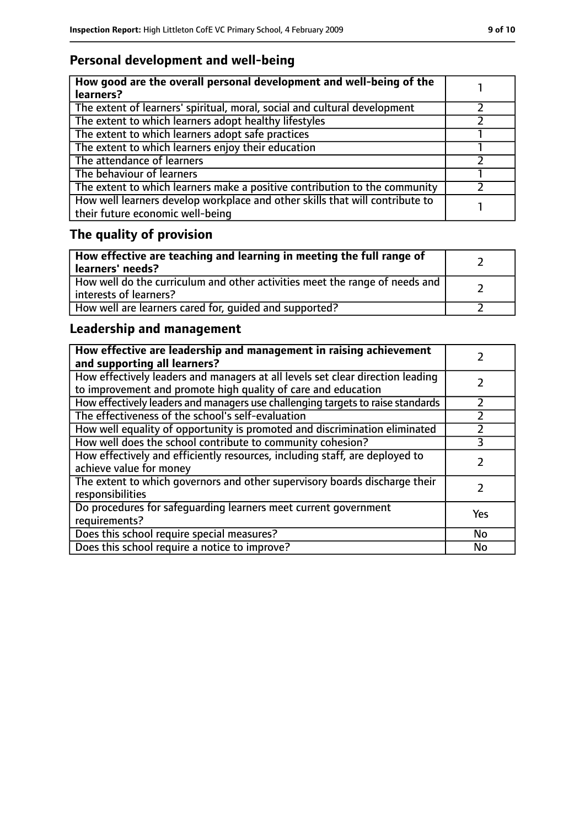# **Personal development and well-being**

| How good are the overall personal development and well-being of the<br>learners?                                 |  |
|------------------------------------------------------------------------------------------------------------------|--|
| The extent of learners' spiritual, moral, social and cultural development                                        |  |
| The extent to which learners adopt healthy lifestyles                                                            |  |
| The extent to which learners adopt safe practices                                                                |  |
| The extent to which learners enjoy their education                                                               |  |
| The attendance of learners                                                                                       |  |
| The behaviour of learners                                                                                        |  |
| The extent to which learners make a positive contribution to the community                                       |  |
| How well learners develop workplace and other skills that will contribute to<br>their future economic well-being |  |

# **The quality of provision**

| How effective are teaching and learning in meeting the full range of<br>learners' needs?              |  |
|-------------------------------------------------------------------------------------------------------|--|
| How well do the curriculum and other activities meet the range of needs and<br>interests of learners? |  |
| How well are learners cared for, quided and supported?                                                |  |

# **Leadership and management**

| How effective are leadership and management in raising achievement<br>and supporting all learners?                                              |           |
|-------------------------------------------------------------------------------------------------------------------------------------------------|-----------|
| How effectively leaders and managers at all levels set clear direction leading<br>to improvement and promote high quality of care and education |           |
| How effectively leaders and managers use challenging targets to raise standards                                                                 | フ         |
| The effectiveness of the school's self-evaluation                                                                                               |           |
| How well equality of opportunity is promoted and discrimination eliminated                                                                      |           |
| How well does the school contribute to community cohesion?                                                                                      | 3         |
| How effectively and efficiently resources, including staff, are deployed to<br>achieve value for money                                          | 7         |
| The extent to which governors and other supervisory boards discharge their<br>responsibilities                                                  |           |
| Do procedures for safequarding learners meet current government<br>requirements?                                                                | Yes       |
| Does this school require special measures?                                                                                                      | <b>No</b> |
| Does this school require a notice to improve?                                                                                                   | No        |